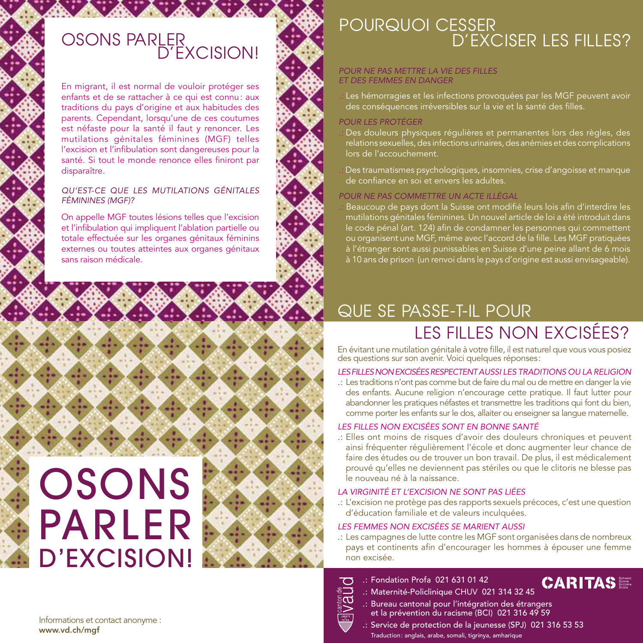### OSONS PARLER D'EXCISION!

 $\mathcal{L}$ 

En migrant, il est normal de vouloir protéger ses enfants et de se rattacher à ce qui est connu: aux traditions du pays d'origine et aux habitudes des parents. Cependant, lorsqu'une de ces coutumes est néfaste pour la santé il faut y renoncer. Les mutilations génitales féminines (MGF) telles l'excision et l'infibulation sont dangereuses pour la santé. Si tout le monde renonce elles finiront par disparaître.

#### *QU'EST-CE QUE LES MUTILATIONS GÉNITALES FÉMININES (MGF)?*

On appelle MGF toutes lésions telles que l'excision et l'infibulation qui impliquent l'ablation partielle ou totale effectuée sur les organes génitaux féminins externes ou toutes atteintes aux organes génitaux sans raison médicale.

00000000

**And Alle Alle Alle All A** 

# **OSONS** PARLER D'EXCISION!



## POURQUOI CESSER D'EXCISER LES FILLES?

#### *POUR NE PAS METTRE LA VIE DES FILLES ET DES FEMMES EN DANGER*

Les hémorragies et les infections provoquées par les MGF peuvent avoir des conséquences irréversibles sur la vie et la santé des filles.

#### *POUR LES PROTÉGER*

- Des douleurs physiques régulières et permanentes lors des règles, des relations sexuelles, des infections urinaires, des anémies et des complications lors de l'accouchement.
- Des traumatismes psychologiques, insomnies, crise d'angoisse et manque de confiance en soi et envers les adultes.

#### *POUR NE PAS COMMETTRE UN ACTE ILLÉGAL*

Beaucoup de pays dont la Suisse ont modifié leurs lois afin d'interdire les mutilations génitales féminines. Un nouvel article de loi a été introduit dans le code pénal (art. 124) afin de condamner les personnes qui commettent ou organisent une MGF, même avec l'accord de la fille. Les MGF pratiquées à l'étranger sont aussi punissables en Suisse d'une peine allant de 6 mois à 10 ans de prison (un renvoi dans le pays d'origine est aussi envisageable).

# QUE SE PASSE-T-IL POUR LES FILLES NON EXCISÉES?

En évitant une mutilation génitale à votre fille, il est naturel que vous vous posiez des questions sur son avenir. Voici quelques réponses:

#### *LES FILLES NON EXCISÉES RESPECTENT AUSSI LES TRADITIONS OU LA RELIGION*

.: Les traditions n'ont pas comme but de faire du mal ou de mettre en danger la vie des enfants. Aucune religion n'encourage cette pratique. Il faut lutter pour abandonner les pratiques néfastes et transmettre les traditions qui font du bien, comme porter les enfants sur le dos, allaiter ou enseigner sa langue maternelle.

#### *LES FILLES NON EXCISÉES SONT EN BONNE SANTÉ*

.: Elles ont moins de risques d'avoir des douleurs chroniques et peuvent ainsi fréquenter régulièrement l'école et donc augmenter leur chance de faire des études ou de trouver un bon travail. De plus, il est médicalement prouvé qu'elles ne deviennent pas stériles ou que le clitoris ne blesse pas le nouveau né à la naissance.

#### *LA VIRGINITÉ ET L'EXCISION NE SONT PAS LIÉES*

.: L'excision ne protège pas des rapports sexuels précoces, c'est une question d'éducation familiale et de valeurs inculquées.

#### *LES FEMMES NON EXCISÉES SE MARIENT AUSSI*

.: Les campagnes de lutte contre les MGF sont organisées dans de nombreux pays et continents afin d'encourager les hommes à épouser une femme non excisée.



#### .: Fondation Profa 021 631 01 42

**CARITAS** .: Maternité-Policlinique CHUV 021 314 32 45

- .: Bureau cantonal pour l'intégration des étrangers et la prévention du racisme (BCI) 021 316 49 59
- .: Service de protection de la jeunesse (SPJ) 021 316 53 53 Traduction: anglais, arabe, somali, tigrinya, amharique

Informations et contact anonyme : www.vd.ch/mgf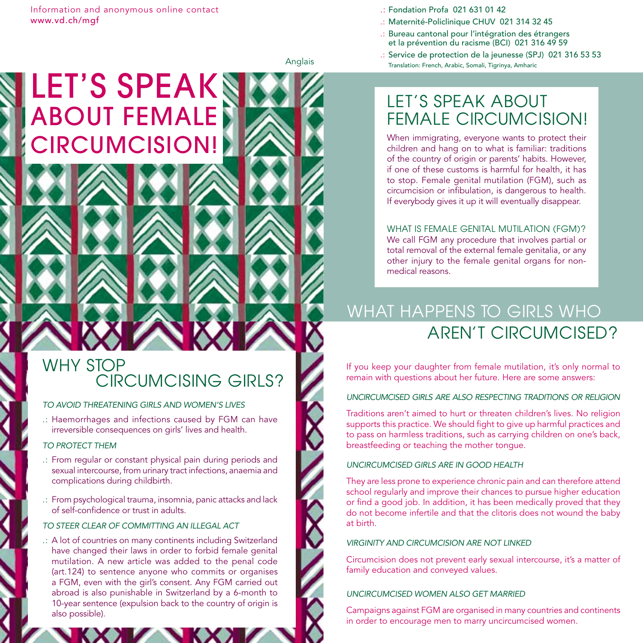LET'S SPEAKS

ABOUT FEMALE

CIRCUMCISION!

- .: Maternité-Policlinique CHUV 021 314 32 45
- .: Bureau cantonal pour l'intégration des étrangers et la prévention du racisme (BCI) 021 316 49 59
- .: Service de protection de la jeunesse (SPJ) 021 316 53 53 Translation: French, Arabic, Somali, Tigrinya, Amharic

Anglais

**ROMAN** 

# LET'S SPEAK ABOUT FEMALE CIRCUMCISION!

When immigrating, everyone wants to protect their children and hang on to what is familiar: traditions of the country of origin or parents' habits. However, if one of these customs is harmful for health, it has to stop. Female genital mutilation (FGM), such as circumcision or infibulation, is dangerous to health. If everybody gives it up it will eventually disappear.

#### WHAT IS FEMALE GENITAL MUTILATION (FGM)?

We call FGM any procedure that involves partial or total removal of the external female genitalia, or any other injury to the female genital organs for nonmedical reasons.

# WHAT HAPPENS TO GIRLS WHO AREN'T CIRCUMCISED?

If you keep your daughter from female mutilation, it's only normal to remain with questions about her future. Here are some answers:

#### *UNCIRCUMCISED GIRLS ARE ALSO RESPECTING TRADITIONS OR RELIGION*

Traditions aren't aimed to hurt or threaten children's lives. No religion supports this practice. We should fight to give up harmful practices and to pass on harmless traditions, such as carrying children on one's back, breastfeeding or teaching the mother tongue.

#### *UNCIRCUMCISED GIRLS ARE IN GOOD HEALTH*

They are less prone to experience chronic pain and can therefore attend school regularly and improve their chances to pursue higher education or find a good job. In addition, it has been medically proved that they do not become infertile and that the clitoris does not wound the baby at birth.

#### *VIRGINITY AND CIRCUMCISION ARE NOT LINKED*

Circumcision does not prevent early sexual intercourse, it's a matter of family education and conveyed values.

#### *UNCIRCUMCISED WOMEN ALSO GET MARRIED*

Campaigns against FGM are organised in many countries and continents in order to encourage men to marry uncircumcised women.

### WHY STOP CIRCUMCISING GIRLS?

#### *TO AVOID THREATENING GIRLS AND WOMEN'S LIVES*

.: Haemorrhages and infections caused by FGM can have irreversible consequences on girls' lives and health.

#### *TO PROTECT THEM*

- .: From regular or constant physical pain during periods and sexual intercourse, from urinary tract infections, anaemia and complications during childbirth.
- .: From psychological trauma, insomnia, panic attacks and lack of self-confidence or trust in adults.

#### *TO STEER CLEAR OF COMMITTING AN ILLEGAL ACT*

.: A lot of countries on many continents including Switzerland have changed their laws in order to forbid female genital mutilation. A new article was added to the penal code (art.124) to sentence anyone who commits or organises a FGM, even with the girl's consent. Any FGM carried out abroad is also punishable in Switzerland by a 6-month to 10-year sentence (expulsion back to the country of origin is also possible).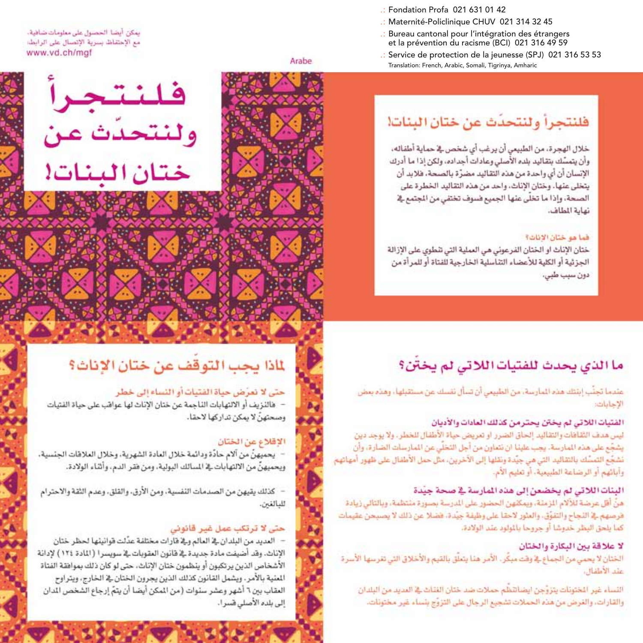- : Fondation Profa 021 631 01 42
- .: Maternité-Policlinique CHUV 021 314 32 45
- Bureau cantonal pour l'intégration des étrangers et la prévention du racisme (BCI) 021 316 49 59
- : Service de protection de la jeunesse (SPJ) 021 316 53 53 Translation: French, Arabic, Somali, Tigrinya, Amharic

# فلنتجرأ ولنتحدث عن ختان البنات!

خلال الهجرة، من الطبيعي أن يرغب أي شخص في حماية أطفاله، وأن يتمسَّك بتقاليد بلده الأصلى وعادات أجداده، ولكن إذا ما أدرك الإنسان أن أي واحدة من هذه التقاليد مضرَّة بالصحة، فلابد أن يتخلى عنها، وختان الإناث، واحد من هذه النقاليد الخطرة على الصحة، وإذا ما تخلَّى عنها الجميع فسوف تختفي من المجتمع في نهاية الطاف.

#### فما هو ختان الانات؟

ختان الإناث او الختان الفرعوني هي العملية التي تنطوي على الإزالة الجزئية أو الكلية للأعضاء التناسلية الخارجية للفناة أو للمرأة من دون سبب طبي،

# ما الذي يحدث للفتيات اللاتي لم يختن؟

عندما تجنُّب إيتثله هذه المارسة، من الطبيعي أن تسأل نفسك عن مستقبلها، وهذه بعض الاحابات

#### الفتيات اللاتي لم يختن يحترمن كذلك العادات والأديان

ليس هدف الثقافات والنقاليد إلحاق الضرر او نعريض حياة الأطفال للخطر، ولا يوجد دين يشجَّع على هذه المارسة. يجب علينا ان نتماون من أجل التخلِّي عن المارسات الضارة، وأن نَشْجُعِ التَمِسُكِ بِالتقاليدِ التي هي جِيِّدة ونقلها إلى الآخرينِ، مثل حمل الأطفال على ظهور أمهاتهم وآبائهم أو الرضاعة الطبيعية، أو تعليم الأم.

#### البنات اللاتي لم يخضعن إلى هذه المارسة في صحة جيّدة

هنَّ أقل عرضة للآلام الزملة، ويمكنهن الحضور على الدرسة بصورة منتظمة، وبالتالي زيادة فرصهم في النجاح والتفوُّق، والعلور لاحقاً على وظيفة جيَّدة، فضلاً عن ذلك لا يصبحن عقيمات كما يلحق البظر خدوشا أو جروحا باللواود عند الولادة.

#### لا علاقة بين البكارة والختان

الختان لا يحمى من الجماع في وقت مبكَّر. الأمر هنا يتعلق بالقيم والأخلاق التي تغرسها الأسرة عند الأطفال

النساء غير الخنونات يتزوَّجن ايضاتلظم حملات ضد ختان الفنات ﷺ المديد من البلدان والقارات، والغرض من هذه الحملات تشجيع الرجال على التزوُّج بنساء غير مختونات.

يمكن أيضا الخصول على معلومات ضافية، مع الإحتفاظ بسرية الإنصال على الرابط: www.vd.ch/maf

Arabe



# لماذا يجب التوقف عن ختان الإناث؟

#### حتى لا تعرَّض حياة الفتيات أو النساء إلى خطر

- هالنزيف أو الالتهابات الناجمة عن ختان الإناث لها عواقب على حياة الفتيات وصحتهنّ لا يمكن تداركها لاحقا.

XXX D.

RESEARCH AND CONTROL

#### الاقلاع عن الختان

يحميهنَّ من آلام حادَّة ودائمة خلال العادة الشهرية، وخلال العلاهات الجنسية، ويحميهنَّ من الالتهابات في الممالك البولية، ومن فقر الدم، وأثناء الولادة.

كذلك يقيهن من الصدمات النفسية، ومن الأرق، والقلق، وعدم الثقة والاحترام للبالغين.

#### حتی لا ترتکب عمل غیر قانونی

- العديد من البلدان ﴾ العالم و﴾ قارات مختلفة عدَّلت قوانيتها لحظر ختان الإناث. وقد أضيفت مادة جديدة في قانون العقوبات في سويسرا (المادة ١٢٤) لإدانة الأشخاص الذين يرتكبون أو ينظمون ختان الإناث، حتى لو كان ذلك بمواهقة الفتاة المنية بالأمر. ويشمل القانون كذلك الذين يجرون الختان ﴾ الخارج، ويتراوح العقاب بين ٦ أشهر وعشر سنوات (من المكن أيضا أن يتمّ إرجاع الشخص الدان إلى بلده الأصلي فسرا.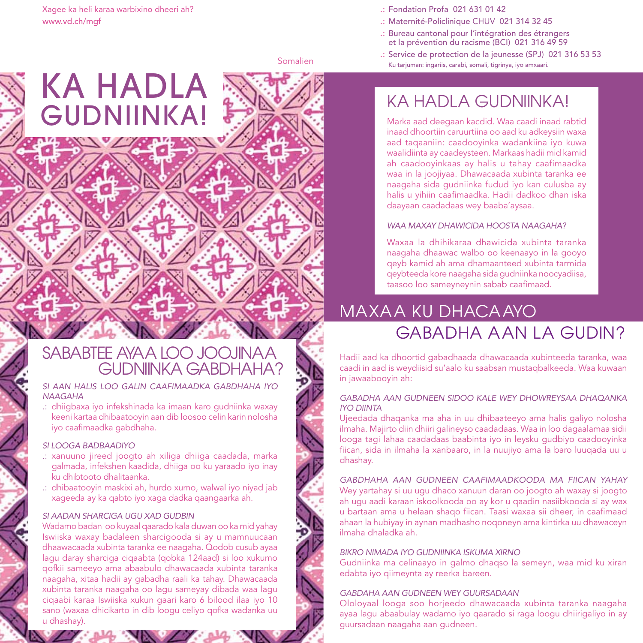KA HADLA

GUDNIINKA!

#### .: Fondation Profa 021 631 01 42

- .: Maternité-Policlinique CHUV 021 314 32 45
- .: Bureau cantonal pour l'intégration des étrangers et la prévention du racisme (BCI) 021 316 49 59
- .: Service de protection de la jeunesse (SPJ) 021 316 53 53 Ku tarjuman: ingariis, carabi, somali, tigrinya, iyo amxaari.

Somalien

# KA HADLA GUDNIINKA!

Marka aad deegaan kacdid. Waa caadi inaad rabtid inaad dhoortiin caruurtiina oo aad ku adkeysiin waxa aad taqaaniin: caadooyinka wadankiina iyo kuwa waalidiinta ay caadeysteen. Markaas hadii mid kamid ah caadooyinkaas ay halis u tahay caafimaadka waa in la joojiyaa. Dhawacaada xubinta taranka ee naagaha sida gudniinka fudud iyo kan culusba ay halis u yihiin caafimaadka. Hadii dadkoo dhan iska daayaan caadadaas wey baaba'aysaa.

#### *WAA MAXAY DHAWICIDA HOOSTA NAAGAHA?*

Waxaa la dhihikaraa dhawicida xubinta taranka naagaha dhaawac walbo oo keenaayo in la gooyo qeyb kamid ah ama dhamaanteed xubinta tarmida qeybteeda kore naagaha sida gudniinka noocyadiisa, taasoo loo sameyneynin sabab caafimaad.

# MAXAA KU DHACAAYO GABADHA AAN LA GUDIN?

Hadii aad ka dhoortid gabadhaada dhawacaada xubinteeda taranka, waa caadi in aad is weydiisid su'aalo ku saabsan mustaqbalkeeda. Waa kuwaan in jawaabooyin ah:

#### *GABADHA AAN GUDNEEN SIDOO KALE WEY DHOWREYSAA DHAQANKA IYO DIINTA*

Ujeedada dhaqanka ma aha in uu dhibaateeyo ama halis galiyo nolosha ilmaha. Majirto diin dhiiri galineyso caadadaas. Waa in loo dagaalamaa sidii looga tagi lahaa caadadaas baabinta iyo in leysku gudbiyo caadooyinka fiican, sida in ilmaha la xanbaaro, in la nuujiyo ama la baro luuqada uu u dhashay.

*GABDHAHA AAN GUDNEEN CAAFIMAADKOODA MA FIICAN YAHAY* Wey yartahay si uu ugu dhaco xanuun daran oo joogto ah waxay si joogto ah ugu aadi karaan iskoolkooda oo ay kor u qaadin nasiibkooda si ay wax u bartaan ama u helaan shaqo fiican. Taasi waxaa sii dheer, in caafimaad ahaan la hubiyay in aynan madhasho noqoneyn ama kintirka uu dhawaceyn ilmaha dhaladka ah.

#### *BIKRO NIMADA IYO GUDNIINKA ISKUMA XIRNO*

Gudniinka ma celinaayo in galmo dhaqso la semeyn, waa mid ku xiran edabta iyo qiimeynta ay reerka bareen.

#### *GABDAHA AAN GUDNEEN WEY GUURSADAAN*

Ololoyaal looga soo horjeedo dhawacaada xubinta taranka naagaha ayaa lagu abaabulay wadamo iyo qaarado si raga loogu dhiirigaliyo in ay guursadaan naagaha aan gudneen.

### SABABTEE AYAA LOO JOOJINAA GUDNIINKA GABDHAHA?

#### *SI AAN HALIS LOO GALIN CAAFIMAADKA GABDHAHA IYO NAAGAHA*

.: dhiigbaxa iyo infekshinada ka imaan karo gudniinka waxay keeni kartaa dhibaatooyin aan dib loosoo celin karin nolosha iyo caafimaadka gabdhaha.

#### *SI LOOGA BADBAADIYO*

- .: xanuuno jireed joogto ah xiliga dhiiga caadada, marka galmada, infekshen kaadida, dhiiga oo ku yaraado iyo inay ku dhibtooto dhalitaanka.
- .: dhibaatooyin maskixi ah, hurdo xumo, walwal iyo niyad jab xageeda ay ka qabto iyo xaga dadka qaangaarka ah.

#### *SI AADAN SHARCIGA UGU XAD GUDBIN*

Wadamo badan oo kuyaal qaarado kala duwan oo ka mid yahay Iswiiska waxay badaleen sharcigooda si ay u mamnuucaan dhaawacaada xubinta taranka ee naagaha. Qodob cusub ayaa lagu daray sharciga ciqaabta (qobka 124aad) si loo xukumo qofkii sameeyo ama abaabulo dhawacaada xubinta taranka naagaha, xitaa hadii ay gabadha raali ka tahay. Dhawacaada xubinta taranka naagaha oo lagu sameyay dibada waa lagu ciqaabi karaa Iswiiska xukun gaari karo 6 bilood ilaa iyo 10 sano (waxaa dhicikarto in dib loogu celiyo qofka wadanka uu u dhashay).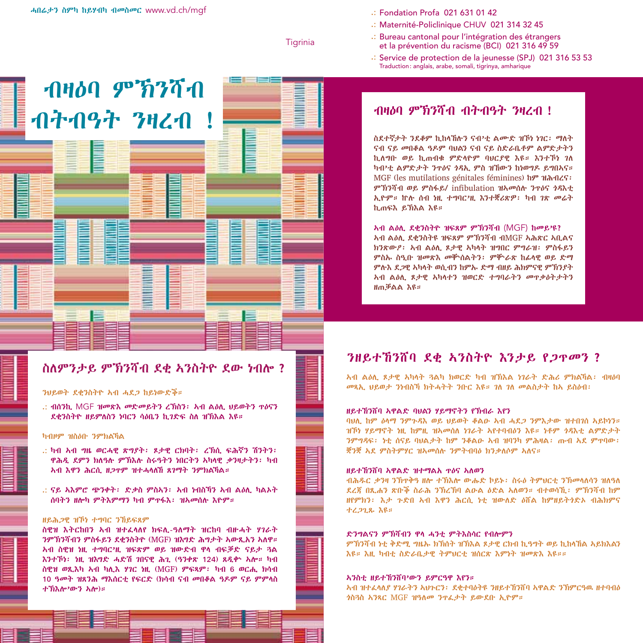ብዛዕባ ምኽንሻብ

ብትብዓት ንዛረብ !

.: Fondation Profa 021 631 01 42

- .: Maternité-Policlinique CHUV 021 314 32 45
- .: Bureau cantonal pour l'intégration des étrangers et la prévention du racisme (BCI) 021 316 49 59
- .: Service de protection de la jeunesse (SPJ) 021 316 53 53 Traduction: anglais, arabe, somali, tigrinya, amharique

#### **Tigrinia**

### ብዛዕባ ምኽንሻብ ብትብዓት ንዛረብ !

ስደተኛታት ንደቆም ኪከላኸሉን ናብ'ቲ ልሙድ ዝኾነ ነገር፡ ማለት ናብ ናይ መበቆል ዓዶም ባህልን ናብ ናይ ስድራቤቶም ልምድታትን ኪለግቡ ወይ ኪጠብቁ ምድላዮም ባህርያዊ እዩ። እንተኾነ ገለ ካብ'ቲ ልምድታት ንጥዕና ጎዳኢ ምስ ዝኸውን ከነወግዶ ይግበኣና። MGF (les mutilations génitales féminines) ከም ዝሕብረና፡ ምኽንሻብ ወይ ምስፋይ/ infibulation ዝኣመሰሉ ንጥዕና ጎዳእቲ ኢዮም። ኵሉ ሰብ ነዚ ተግባር'ዚ እንተቛሪጽዎ፡ ካብ ገጽ መሬት ኪጠፍእ ይኽእል እዩ።

ኣብ ልዕሊ ደቂንስትዮ ዝፍጸም ምኽንሻብ (MGF) ከመይ'ዩ? ኣብ ልዕሊ ደቂንስትዩ ዝፍጸም ምኽንሻብ ብMGF ኣሕጽር ኣቢልና ክንጽውዖ፡ ኣብ ልዕሊ ጾታዊ ኣካላት ዝግበር ምግራዝ፡ ምስፋይን ምስኡ ስዒቡ ዝመጽእ መቝሰልትን፡ ምቝራጽ ከፊላዊ ወይ ድማ ምሉእ ደጋዊ ኣካላት ወሲብን ከምኡ ድማ ብዘይ ሕክምናዊ ምኽንያት ኣብ ልዕሊ ጾታዊ ኣካላተን ዝወርድ ተግባራትን መጥቃዕትታትን ዘጠቓልል እዩ።

### ንዘይተኸንሸባ ደቂ ኣንስትዮ እንታይ የጋጥመን ?

ኣብ ልዕሊ ጾታዊ ኣካላት ጓልካ ክወርድ ካብ ዝኽእል ነገራት ድሕሪ ምክልኻል፡ ብዛዕባ መጻኢ ህይወታ ንነብስኻ ክትሓትት ንቡር እዩ። ገለ ገለ መልስታት ከኣ ይስዕብ፡

#### ዘይተኸንሸባ ኣዋልድ ባህልን ሃይማኖትን የኽብራ እየን

ባህሊ ከም ዕላማ ንምጉዳእ ወይ ህይወት ቆልዑ ኣብ ሓደጋ ንምእታው ዝተበገሰ ኣይኮነን። ዝኾነ ሃይማኖት ነዚ ከምዚ ዝኣመሰለ ነገራት ኣየተባብዕን እዩ። ነቶም ጎዳእቲ ልምድታት ንምግዳፍ፡ ነቲ ሰናይ ባህልታት ከም ንቆልዑ ኣብ ዝባንካ ምሕዛል፡ ጡብ ኣደ ምጥባው፡ ቛንቛ ኣደ ምስትምሃር ዝኣመሰሉ ንምትብባዕ ክንቃለሶም ኣለና።

#### ዘይተኸንሸባ ኣዋልድ ዝተማልአ ጥዕና ኣለወን

ብሕዱር ቃንዛ ንኽጥቅዓ ዘሎ ተኽእሎ ውሑድ ኮይኑ፡ ስሩዕ ትምህርቲ ንኽመላለሳን ዝለዓለ ደረጃ በጺሐን ጽቡቕ ስራሕ ንኽረኽባ ልዑል ዕድል ኣለወን። ብተወሳኺ፡ ምኽንሻብ ከም ዘየምክን፡ እታ ጉድበ ኣብ እዋን ሕርሲ ነቲ ዝውለድ ዕሸል ከምዘይትጎድኦ ብሕክምና ተረጋጊጹ እዩ።

#### ድንግልናን ምኽሻብን ዋላ ሓንቲ ምትእስሳር የብሎምን

ምኽንሻብ ነቲ ቅድሚ ግዜኡ ክኽሰት ዝኽእል ጾታዊ ርክብ ኪዓግት ወይ ኪከላኸል ኣይክእልን እዩ። እዚ ካብቲ ስድራቤታዊ ትምህርቲ ዝሰርጽ እምነት ዝመጽእ እዩ።።

#### ኣንስቲ ዘይተኸንሸባ'ውን ይምርዓዋ እየን።

ኣብ ዝተፈላለያ ሃገራትን ኣህጉርን፡ ደቂተባዕትዩ ንዘይተኸንሸባ ኣዋልድ ንኽምርዓዉ ዘተባብዕ ጎስጓስ ኣንጻር MGF ዝዓለመ ንጥፈታት ይውደቡ ኢዮም።

### ስለምንታይ ምኽንሻብ ደቂ ኣንስትዮ ደው ነብሎ ?

#### ንህይወት ደቂንስትዮ ኣብ ሓደጋ ከይነውድቕ።

.: ብሰንኪ MGF ዝመጽእ መድመይትን ረኽስን፡ ኣብ ልዕሊ ህይወትን ጥዕናን ደቂንስትዮ ዘይምለስን ነባርን ሳዕቤን ኪገድፍ ስለ ዝኽእል እዩ።

#### ካብዞም ዝስዕቡ ንምክልኻል

- .: ካብ ኣብ ግዜ ወርሓዊ ጽግያት፡ ጾታዊ ርክባት፡ ረኽሲ ፍሕኛን ሽንትን፡ ዋሕዲ ደምን ክለዓሉ ምኽእሉ ስሩዓትን ነበርትን ኣካላዊ ቃንዛታትን፡ ካብ ኣብ እዋን ሕርሲ ዘጋጥም ዝተሓላለኸ ጸገማት ንምክልኻል።
- .: ናይ ኣእምሮ ጭንቀት፡ ድቃስ ምስኣን፡ ኣብ ነብስኻን ኣብ ልዕሊ ካልኦት ሰባትን ዘሎካ ምትእምማን ካብ ምጥፋእ፡ ዝኣመሰሉ እዮም።

#### ዘይሕጋዊ ዝኾነ ተግባር ንኸይፍጸም

ስዊዝ እትርከበን ኣብ ዝተፈላለየ ክፍሊ-ዓለማት ዝርከባ ብዙሓት ሃገራት ንምኽንሻብን ምስፋይን ደቂንስትዮ (MGF) ዝእግድ ሕግታት ኣውጺአን ኣለዋ። ኣብ ስዊዝ ነዚ ተግባር'ዚ ዝፍጽም ወይ ዝውድብ ዋላ ብፍቓድ ናይታ ጓል እንተኾነ፡ ነዚ ዝእግድ ሓድሽ ገበናዊ ሕጊ (ዓንቀጽ 124) ጸዲቍ ኣሎ። ካብ ስዊዝ ወጺእካ ኣብ ካሊእ ሃገር ነዚ (MGF) ምፍጻም፡ ካብ 6 ወርሒ ክሳብ 10 ዓመት ዝጸንሕ ማእሰርቲ የፍርድ (ክሳብ ናብ መበቆል ዓዶም ናይ ምምላስ ተኽእሎ'ውን ኣሎ)።